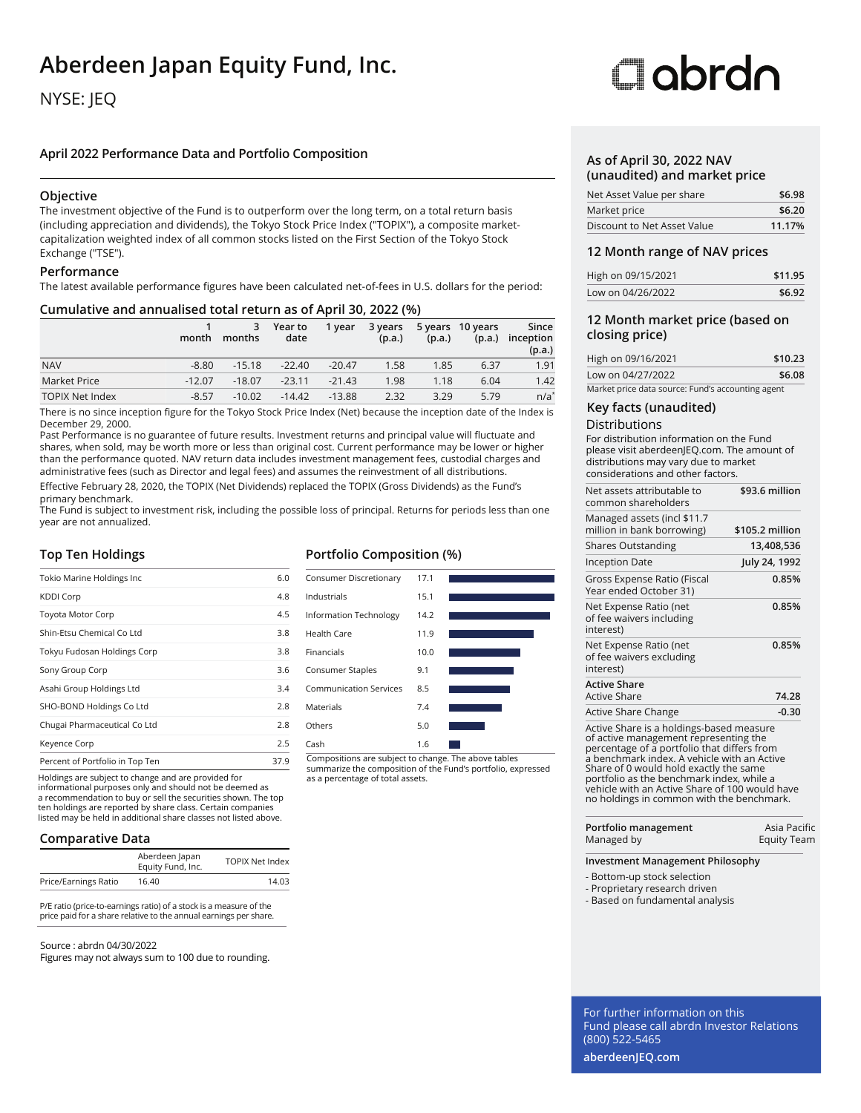## **Aberdeen Japan Equity Fund, Inc.**

### NYSE: JEQ

### **April 2022 Performance Data and Portfolio Composition**

### **Objective**

The investment objective of the Fund is to outperform over the long term, on a total return basis (including appreciation and dividends), the Tokyo Stock Price Index ("TOPIX"), a composite marketcapitalization weighted index of all common stocks listed on the First Section of the Tokyo Stock Exchange ("TSE").

### **Performance**

The latest available performance figures have been calculated net-of-fees in U.S. dollars for the period:

### **Cumulative and annualised total return as of April 30, 2022 (%)**

|                        | month    | 3<br>months | Year to<br>date | 1 year   | 3 years<br>(p.a.) | (p.a.) | 5 years 10 years<br>(p.a.) | Since<br>inception<br>(p.a.) |
|------------------------|----------|-------------|-----------------|----------|-------------------|--------|----------------------------|------------------------------|
| <b>NAV</b>             | $-8.80$  | $-15.18$    | $-22.40$        | $-20.47$ | 1.58              | 1.85   | 6.37                       | 1.91                         |
| Market Price           | $-12.07$ | $-18.07$    | $-23.11$        | $-21.43$ | 1.98              | 1.18   | 6.04                       | 1.42                         |
| <b>TOPIX Net Index</b> | $-8.57$  | $-10.02$    | $-14.42$        | $-13.88$ | 2.32              | 3.29   | 5.79                       | $n/a^*$                      |

There is no since inception figure for the Tokyo Stock Price Index (Net) because the inception date of the Index is December 29, 2000.

Past Performance is no guarantee of future results. Investment returns and principal value will fluctuate and shares, when sold, may be worth more or less than original cost. Current performance may be lower or higher than the performance quoted. NAV return data includes investment management fees, custodial charges and administrative fees (such as Director and legal fees) and assumes the reinvestment of all distributions. Effective February 28, 2020, the TOPIX (Net Dividends) replaced the TOPIX (Gross Dividends) as the Fund's

primary benchmark.

The Fund is subject to investment risk, including the possible loss of principal. Returns for periods less than one year are not annualized.

### **Top Ten Holdings**

| Tokio Marine Holdings Inc       | 6.0  |
|---------------------------------|------|
| <b>KDDI Corp</b>                | 4.8  |
| <b>Toyota Motor Corp</b>        | 4.5  |
| Shin-Etsu Chemical Co Ltd       | 3.8  |
| Tokyu Fudosan Holdings Corp     | 3.8  |
| Sony Group Corp                 | 3.6  |
| Asahi Group Holdings Ltd        | 3.4  |
| SHO-BOND Holdings Co Ltd        | 2.8  |
| Chugai Pharmaceutical Co Ltd    | 2.8  |
| Keyence Corp                    | 2.5  |
| Percent of Portfolio in Top Ten | 37.9 |

Holdings are subject to change and are provided for

informational purposes only and should not be deemed as a recommendation to buy or sell the securities shown. The top ten holdings are reported by share class. Certain companies listed may be held in additional share classes not listed above.

### **Comparative Data**

| Aberdeen Japan<br>Equity Fund, Inc. | <b>TOPIX Net Index</b> |
|-------------------------------------|------------------------|
| 16.40                               | 14.03                  |
|                                     |                        |

P/E ratio (price-to-earnings ratio) of a stock is a measure of the price paid for a share relative to the annual earnings per share.

### Source : abrdn 04/30/2022

Figures may not always sum to 100 due to rounding.

### **Portfolio Composition (%)**



Compositions are subject to change. The above tables summarize the composition of the Fund's portfolio, expressed

# Oobrdo

### **As of April 30, 2022 NAV (unaudited) and market price**

| Net Asset Value per share   | \$6.98 |
|-----------------------------|--------|
| Market price                | \$6.20 |
| Discount to Net Asset Value | 11.17% |

### **12 Month range of NAV prices**

| High on 09/15/2021 | \$11.95 |
|--------------------|---------|
| Low on 04/26/2022  | \$6.92  |

### **12 Month market price (based on closing price)**

| High on 09/16/2021                                | \$10.23 |
|---------------------------------------------------|---------|
| Low on 04/27/2022                                 | \$6.08  |
| Market price data source: Fund's accounting agent |         |

### **Key facts (unaudited)**

### Distributions

For distribution information on the Fund please visit aberdeenJEQ.com. The amount of distributions may vary due to market considerations and other factors.

| Net assets attributable to<br>common shareholders               | \$93.6 million  |
|-----------------------------------------------------------------|-----------------|
| Managed assets (incl \$11.7<br>million in bank borrowing)       | \$105.2 million |
| <b>Shares Outstanding</b>                                       | 13,408,536      |
| <b>Inception Date</b>                                           | July 24, 1992   |
| Gross Expense Ratio (Fiscal<br>Year ended October 31)           | 0.85%           |
| Net Expense Ratio (net<br>of fee waivers including<br>interest) | 0.85%           |
| Net Expense Ratio (net<br>of fee waivers excluding<br>interest) | 0.85%           |
| <b>Active Share</b><br>Active Share                             | 74.28           |
| Active Share Change                                             | $-0.30$         |
|                                                                 |                 |

Active Share is a holdings-based measure of active management representing the percentage of a portfolio that differs from a benchmark index. A vehicle with an Active Share of 0 would hold exactly the same portfolio as the benchmark index, while a vehicle with an Active Share of 100 would have no holdings in common with the benchmark.

| Portfolio management | Asia Pacific       |
|----------------------|--------------------|
| Managed by           | <b>Equity Team</b> |

#### **Investment Management Philosophy**

- Bottom-up stock selection

- Proprietary research driven
- Based on fundamental analysis

For further information on this Fund please call abrdn Investor Relations (800) 522-5465

**aberdeenJEQ.com**